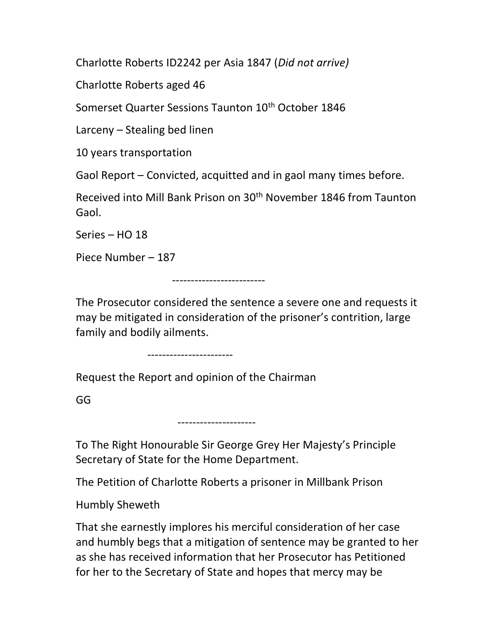Charlotte Roberts ID2242 per Asia 1847 (Did not arrive)

Charlotte Roberts aged 46

Somerset Quarter Sessions Taunton 10<sup>th</sup> October 1846

Larceny – Stealing bed linen

10 years transportation

Gaol Report – Convicted, acquitted and in gaol many times before.

Received into Mill Bank Prison on 30th November 1846 from Taunton Gaol.

Series – HO 18

Piece Number – 187

-------------------------

The Prosecutor considered the sentence a severe one and requests it may be mitigated in consideration of the prisoner's contrition, large family and bodily ailments.

-----------------------

Request the Report and opinion of the Chairman

GG

---------------------

To The Right Honourable Sir George Grey Her Majesty's Principle Secretary of State for the Home Department.

The Petition of Charlotte Roberts a prisoner in Millbank Prison

Humbly Sheweth

That she earnestly implores his merciful consideration of her case and humbly begs that a mitigation of sentence may be granted to her as she has received information that her Prosecutor has Petitioned for her to the Secretary of State and hopes that mercy may be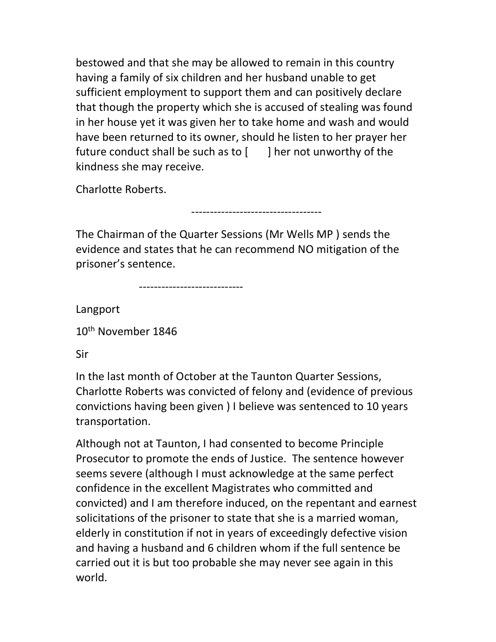bestowed and that she may be allowed to remain in this country having a family of six children and her husband unable to get sufficient employment to support them and can positively declare that though the property which she is accused of stealing was found in her house yet it was given her to take home and wash and would have been returned to its owner, should he listen to her prayer her future conduct shall be such as to  $\lceil \cdot \cdot \rceil$  her not unworthy of the kindness she may receive.

Charlotte Roberts.

-----------------------------------

The Chairman of the Quarter Sessions (Mr Wells MP ) sends the evidence and states that he can recommend NO mitigation of the prisoner's sentence.

----------------------------

Langport

10th November 1846

Sir

In the last month of October at the Taunton Quarter Sessions, Charlotte Roberts was convicted of felony and (evidence of previous convictions having been given ) I believe was sentenced to 10 years transportation.

Although not at Taunton, I had consented to become Principle Prosecutor to promote the ends of Justice. The sentence however seems severe (although I must acknowledge at the same perfect confidence in the excellent Magistrates who committed and convicted) and I am therefore induced, on the repentant and earnest solicitations of the prisoner to state that she is a married woman, elderly in constitution if not in years of exceedingly defective vision and having a husband and 6 children whom if the full sentence be carried out it is but too probable she may never see again in this world.